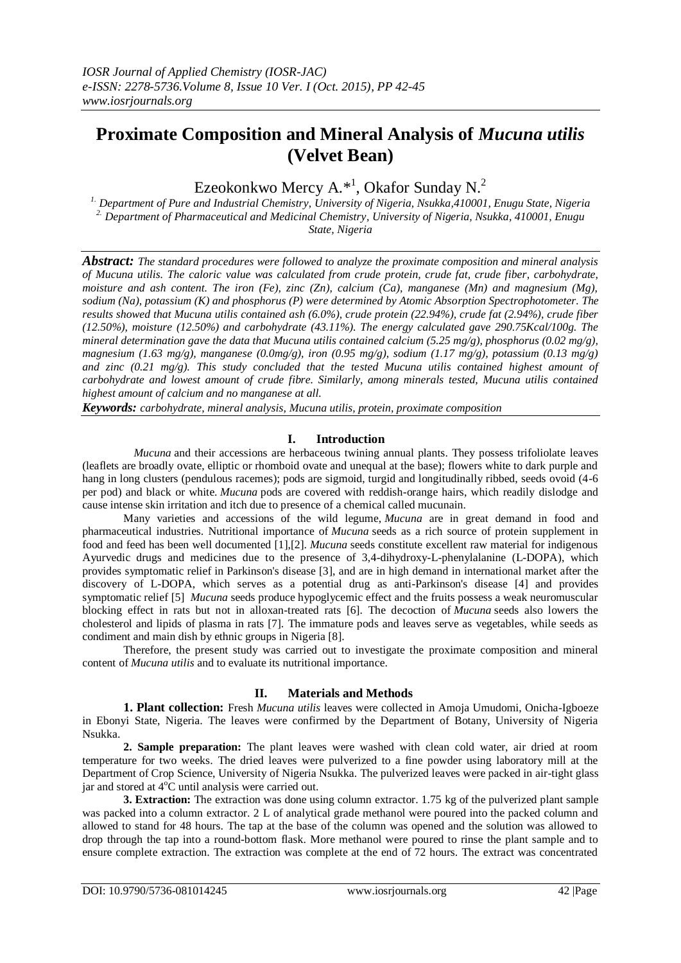# **Proximate Composition and Mineral Analysis of** *Mucuna utilis* **(Velvet Bean)**

Ezeokonkwo Mercy A.\*<sup>1</sup>, Okafor Sunday N.<sup>2</sup>

*1. Department of Pure and Industrial Chemistry, University of Nigeria, Nsukka,410001, Enugu State, Nigeria 2. Department of Pharmaceutical and Medicinal Chemistry, University of Nigeria, Nsukka, 410001, Enugu State, Nigeria*

*Abstract: The standard procedures were followed to analyze the proximate composition and mineral analysis of Mucuna utilis. The caloric value was calculated from crude protein, crude fat, crude fiber, carbohydrate, moisture and ash content. The iron (Fe), zinc (Zn), calcium (Ca), manganese (Mn) and magnesium (Mg), sodium (Na), potassium (K) and phosphorus (P) were determined by Atomic Absorption Spectrophotometer. The results showed that Mucuna utilis contained ash (6.0%), crude protein (22.94%), crude fat (2.94%), crude fiber (12.50%), moisture (12.50%) and carbohydrate (43.11%). The energy calculated gave 290.75Kcal/100g. The mineral determination gave the data that Mucuna utilis contained calcium (5.25 mg/g), phosphorus (0.02 mg/g), magnesium (1.63 mg/g), manganese (0.0mg/g), iron (0.95 mg/g), sodium (1.17 mg/g), potassium (0.13 mg/g)*  and zinc (0.21 mg/g). This study concluded that the tested Mucuna utilis contained highest amount of *carbohydrate and lowest amount of crude fibre. Similarly, among minerals tested, Mucuna utilis contained highest amount of calcium and no manganese at all.*

*Keywords: carbohydrate, mineral analysis, Mucuna utilis, protein, proximate composition*

# **I. Introduction**

*Mucuna* and their accessions are herbaceous twining annual plants. They possess trifoliolate leaves (leaflets are broadly ovate, elliptic or rhomboid ovate and unequal at the base); flowers white to dark purple and hang in long clusters (pendulous racemes); pods are sigmoid, turgid and longitudinally ribbed, seeds ovoid  $(4-6)$ per pod) and black or white. *Mucuna* pods are covered with reddish-orange hairs, which readily dislodge and cause intense skin irritation and itch due to presence of a chemical called mucunain.

Many varieties and accessions of the wild legume, *Mucuna* are in great demand in food and pharmaceutical industries. Nutritional importance of *Mucuna* seeds as a rich source of protein supplement in food and feed has been well documented [1],[2]. *Mucuna* seeds constitute excellent raw material for indigenous Ayurvedic drugs and medicines due to the presence of 3,4-dihydroxy-L-phenylalanine (L-DOPA), which provides symptomatic relief in Parkinson's disease [3], and are in high demand in international market after the discovery of L-DOPA, which serves as a potential drug as anti-Parkinson's disease [4] and provides symptomatic relief [5] *Mucuna* seeds produce hypoglycemic effect and the fruits possess a weak neuromuscular blocking effect in rats but not in alloxan-treated rats [6]. The decoction of *Mucuna* seeds also lowers the cholesterol and lipids of plasma in rats [7]. The immature pods and leaves serve as vegetables, while seeds as condiment and main dish by ethnic groups in Nigeria [8].

Therefore, the present study was carried out to investigate the proximate composition and mineral content of *Mucuna utilis* and to evaluate its nutritional importance.

# **II. Materials and Methods**

**1. Plant collection:** Fresh *Mucuna utilis* leaves were collected in Amoja Umudomi, Onicha-Igboeze in Ebonyi State, Nigeria. The leaves were confirmed by the Department of Botany, University of Nigeria Nsukka.

**2. Sample preparation:** The plant leaves were washed with clean cold water, air dried at room temperature for two weeks. The dried leaves were pulverized to a fine powder using laboratory mill at the Department of Crop Science, University of Nigeria Nsukka. The pulverized leaves were packed in air-tight glass iar and stored at  $4^{\circ}$ C until analysis were carried out.

**3. Extraction:** The extraction was done using column extractor. 1.75 kg of the pulverized plant sample was packed into a column extractor. 2 L of analytical grade methanol were poured into the packed column and allowed to stand for 48 hours. The tap at the base of the column was opened and the solution was allowed to drop through the tap into a round-bottom flask. More methanol were poured to rinse the plant sample and to ensure complete extraction. The extraction was complete at the end of 72 hours. The extract was concentrated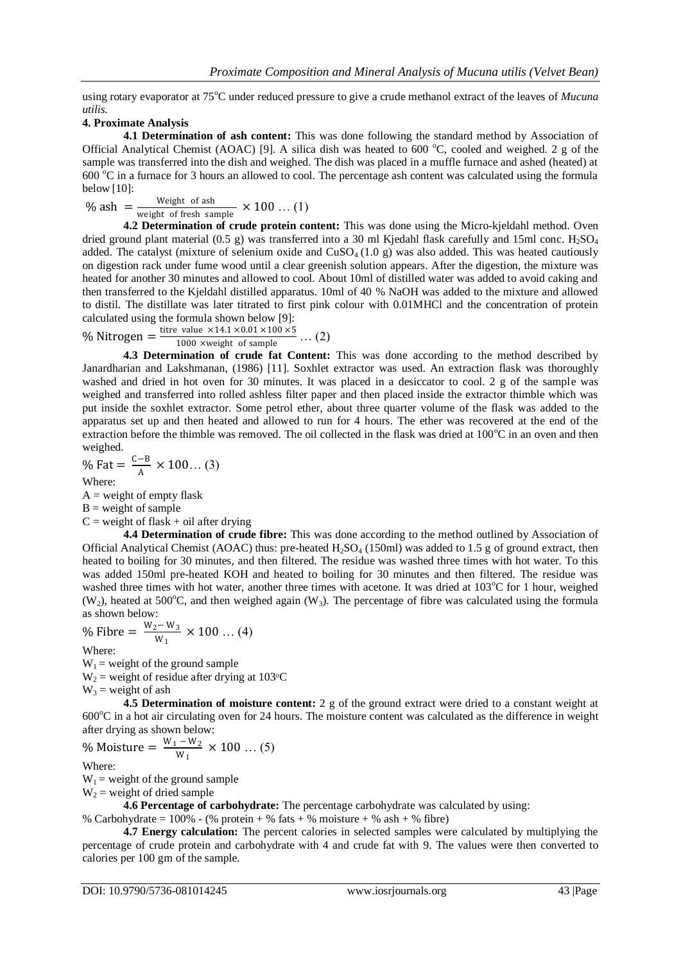using rotary evaporator at 75<sup>o</sup>C under reduced pressure to give a crude methanol extract of the leaves of *Mucuna utilis.*

# **4. Proximate Analysis**

**4.1 Determination of ash content:** This was done following the standard method by Association of Official Analytical Chemist (AOAC) [9]. A silica dish was heated to 600  $^{\circ}$ C, cooled and weighed. 2 g of the sample was transferred into the dish and weighed. The dish was placed in a muffle furnace and ashed (heated) at  $600^{\circ}$ C in a furnace for 3 hours an allowed to cool. The percentage ash content was calculated using the formula below [10]:

$$
\% \text{ ash } = \frac{\text{Weight of ash}}{\text{weight of fresh sample}} \times 100 \dots (1)
$$

**4.2 Determination of crude protein content:** This was done using the Micro-kjeldahl method. Oven dried ground plant material (0.5 g) was transferred into a 30 ml Kjedahl flask carefully and 15ml conc.  $H_2SO_4$ added. The catalyst (mixture of selenium oxide and  $CuSO<sub>4</sub>(1.0 g)$  was also added. This was heated cautiously on digestion rack under fume wood until a clear greenish solution appears. After the digestion, the mixture was heated for another 30 minutes and allowed to cool. About 10ml of distilled water was added to avoid caking and then transferred to the Kjeldahl distilled apparatus. 10ml of 40 % NaOH was added to the mixture and allowed to distil. The distillate was later titrated to first pink colour with 0.01MHCl and the concentration of protein calculated using the formula shown below [9]:

% Nitrogen =  $\frac{\text{time value} \times 14.1 \times 0.01 \times 100 \times 5}{1000 \times \text{weight of sample}}$  ... (2)

**4.3 Determination of crude fat Content:** This was done according to the method described by Janardharian and Lakshmanan, (1986) [11]. Soxhlet extractor was used. An extraction flask was thoroughly washed and dried in hot oven for 30 minutes. It was placed in a desiccator to cool. 2 g of the sample was weighed and transferred into rolled ashless filter paper and then placed inside the extractor thimble which was put inside the soxhlet extractor. Some petrol ether, about three quarter volume of the flask was added to the apparatus set up and then heated and allowed to run for 4 hours. The ether was recovered at the end of the extraction before the thimble was removed. The oil collected in the flask was dried at  $100^{\circ}$ C in an oven and then weighed.

% Fat = 
$$
\frac{C-B}{A}
$$
 × 100... (3)

Where:  $A = weight of empty flask$ 

 $B = weight of sample$ 

 $C$  = weight of flask + oil after drying

**4.4 Determination of crude fibre:** This was done according to the method outlined by Association of Official Analytical Chemist (AOAC) thus: pre-heated  $H_2SO_4$  (150ml) was added to 1.5 g of ground extract, then heated to boiling for 30 minutes, and then filtered. The residue was washed three times with hot water. To this was added 150ml pre-heated KOH and heated to boiling for 30 minutes and then filtered. The residue was washed three times with hot water, another three times with acetone. It was dried at  $103^{\circ}C$  for 1 hour, weighed (W<sub>2</sub>), heated at 500°C, and then weighed again (W<sub>3</sub>). The percentage of fibre was calculated using the formula as shown below:

% Fibre = 
$$
\frac{W_2 - W_3}{W_1}
$$
 × 100 ... (4)

Where:

 $W_1$  = weight of the ground sample

 $W_2$  = weight of residue after drying at 103 $\degree$ C

 $W_3$  = weight of ash

**4.5 Determination of moisture content:** 2 g of the ground extract were dried to a constant weight at  $600^{\circ}$ C in a hot air circulating oven for 24 hours. The moisture content was calculated as the difference in weight after drying as shown below:

% Moisture = 
$$
\frac{W_1 - W_2}{W_1}
$$
 × 100 ... (5)

Where:

 $W_1$  = weight of the ground sample

 $W_2$  = weight of dried sample

**4.6 Percentage of carbohydrate:** The percentage carbohydrate was calculated by using:

% Carbohydrate =  $100\%$  - (% protein + % fats + % moisture + % ash + % fibre)

**4.7 Energy calculation:** The percent calories in selected samples were calculated by multiplying the percentage of crude protein and carbohydrate with 4 and crude fat with 9. The values were then converted to calories per 100 gm of the sample.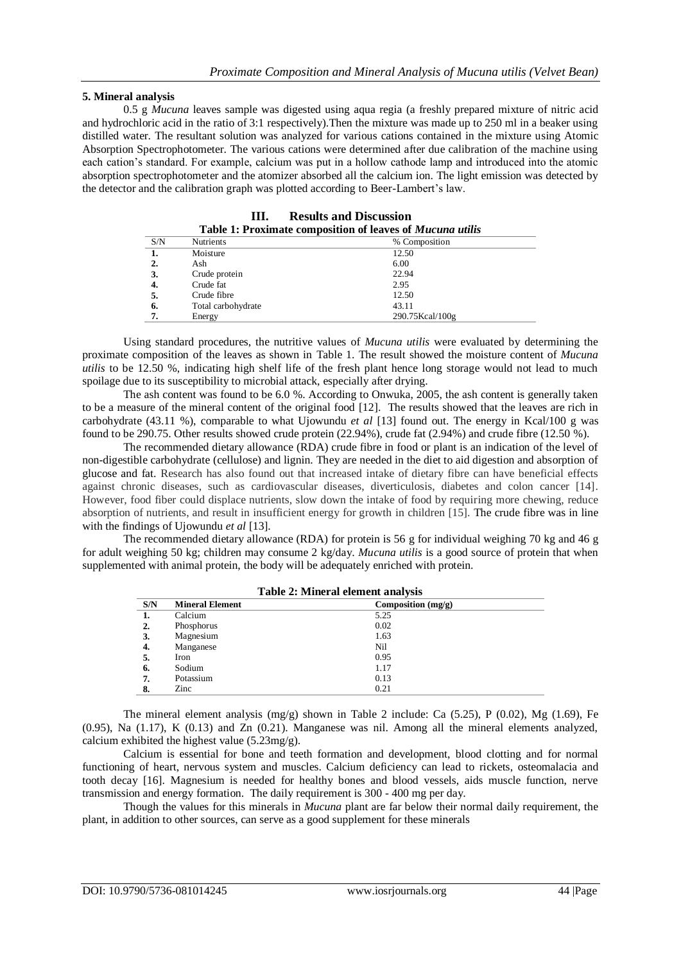#### **5. Mineral analysis**

0.5 g *Mucuna* leaves sample was digested using aqua regia (a freshly prepared mixture of nitric acid and hydrochloric acid in the ratio of 3:1 respectively).Then the mixture was made up to 250 ml in a beaker using distilled water. The resultant solution was analyzed for various cations contained in the mixture using Atomic Absorption Spectrophotometer. The various cations were determined after due calibration of the machine using each cation's standard. For example, calcium was put in a hollow cathode lamp and introduced into the atomic absorption spectrophotometer and the atomizer absorbed all the calcium ion. The light emission was detected by the detector and the calibration graph was plotted according to Beer-Lambert's law.

| <b>Table 1: Proximate composition of leaves of Mucuna utilis</b> |                    |                 |  |  |
|------------------------------------------------------------------|--------------------|-----------------|--|--|
| S/N                                                              | <b>Nutrients</b>   | % Composition   |  |  |
| 1.                                                               | Moisture           | 12.50           |  |  |
| 2.                                                               | Ash                | 6.00            |  |  |
| 3.                                                               | Crude protein      | 22.94           |  |  |
| 4.                                                               | Crude fat          | 2.95            |  |  |
| 5.                                                               | Crude fibre        | 12.50           |  |  |
| 6.                                                               | Total carbohydrate | 43.11           |  |  |
| 7.                                                               | Energy             | 290.75Kcal/100g |  |  |

**III. Results and Discussion**

Using standard procedures, the nutritive values of *Mucuna utilis* were evaluated by determining the proximate composition of the leaves as shown in Table 1. The result showed the moisture content of *Mucuna utilis* to be 12.50 %, indicating high shelf life of the fresh plant hence long storage would not lead to much spoilage due to its susceptibility to microbial attack, especially after drying.

The ash content was found to be 6.0 %. According to Onwuka, 2005, the ash content is generally taken to be a measure of the mineral content of the original food [12]. The results showed that the leaves are rich in carbohydrate (43.11 %), comparable to what Ujowundu *et al* [13] found out. The energy in Kcal/100 g was found to be 290.75. Other results showed crude protein (22.94%), crude fat (2.94%) and crude fibre (12.50 %).

The recommended dietary allowance (RDA) crude fibre in food or plant is an indication of the level of non-digestible carbohydrate (cellulose) and lignin. They are needed in the diet to aid digestion and absorption of glucose and fat. Research has also found out that increased intake of dietary fibre can have beneficial effects against chronic diseases, such as cardiovascular diseases, diverticulosis, diabetes and colon cancer [14]. However, food fiber could displace nutrients, slow down the intake of food by requiring more chewing, reduce absorption of nutrients, and result in insufficient energy for growth in children [15]. The crude fibre was in line with the findings of Ujowundu *et al* [13].

The recommended dietary allowance (RDA) for protein is 56 g for individual weighing 70 kg and 46 g for adult weighing 50 kg; children may consume 2 kg/day. *Mucuna utilis* is a good source of protein that when supplemented with animal protein, the body will be adequately enriched with protein.

| Table 2: Mineral element analysis |                        |                      |  |  |
|-----------------------------------|------------------------|----------------------|--|--|
| S/N                               | <b>Mineral Element</b> | Composition $(mg/g)$ |  |  |
|                                   | Calcium                | 5.25                 |  |  |
| 2.                                | Phosphorus             | 0.02                 |  |  |
| 3.                                | Magnesium              | 1.63                 |  |  |
| 4.                                | Manganese              | Nil                  |  |  |
| 5.                                | Iron                   | 0.95                 |  |  |
| 6.                                | Sodium                 | 1.17                 |  |  |
| 7.                                | Potassium              | 0.13                 |  |  |
| 8.                                | Zinc                   | 0.21                 |  |  |

The mineral element analysis  $(mg/g)$  shown in Table 2 include: Ca (5.25), P (0.02), Mg (1.69), Fe (0.95), Na (1.17), K (0.13) and Zn (0.21). Manganese was nil. Among all the mineral elements analyzed, calcium exhibited the highest value (5.23mg/g).

Calcium is essential for bone and teeth formation and development, blood clotting and for normal functioning of heart, nervous system and muscles. Calcium deficiency can lead to rickets, osteomalacia and tooth decay [16]. Magnesium is needed for healthy bones and blood vessels, aids muscle function, nerve transmission and energy formation. The daily requirement is 300 - 400 mg per day.

Though the values for this minerals in *Mucuna* plant are far below their normal daily requirement, the plant, in addition to other sources, can serve as a good supplement for these minerals